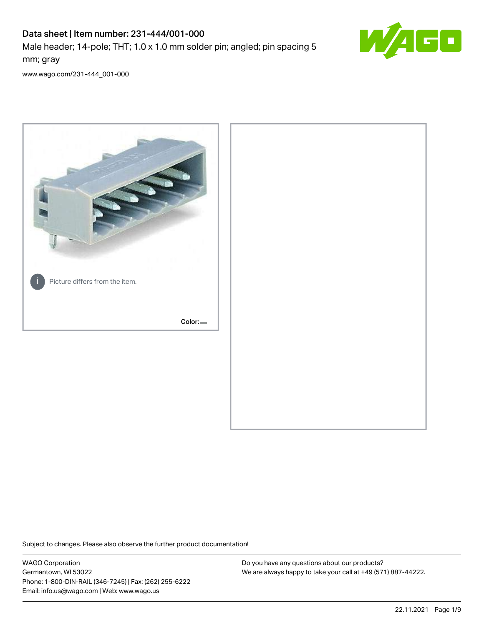# Data sheet | Item number: 231-444/001-000

Male header; 14-pole; THT; 1.0 x 1.0 mm solder pin; angled; pin spacing 5 mm; gray



[www.wago.com/231-444\\_001-000](http://www.wago.com/231-444_001-000)



Subject to changes. Please also observe the further product documentation!

WAGO Corporation Germantown, WI 53022 Phone: 1-800-DIN-RAIL (346-7245) | Fax: (262) 255-6222 Email: info.us@wago.com | Web: www.wago.us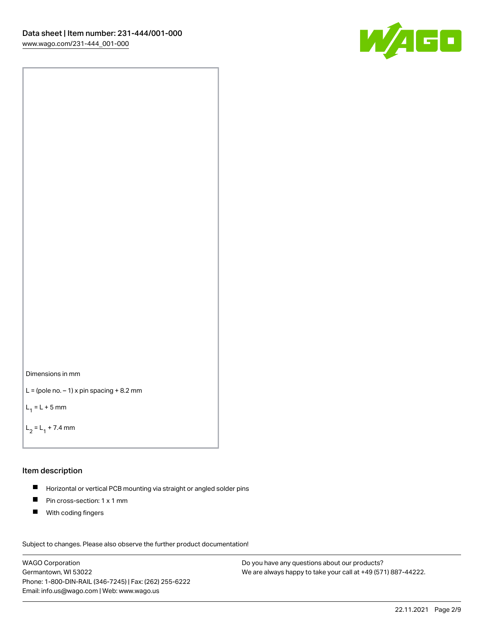



```
L = (pole no. -1) x pin spacing +8.2 mm
```
 $L_1 = L + 5$  mm

```
L_2 = L_1 + 7.4 mm
```
#### Item description

- Horizontal or vertical PCB mounting via straight or angled solder pins  $\blacksquare$
- $\blacksquare$ Pin cross-section: 1 x 1 mm
- **With coding fingers**

Subject to changes. Please also observe the further product documentation! Data

WAGO Corporation Germantown, WI 53022 Phone: 1-800-DIN-RAIL (346-7245) | Fax: (262) 255-6222 Email: info.us@wago.com | Web: www.wago.us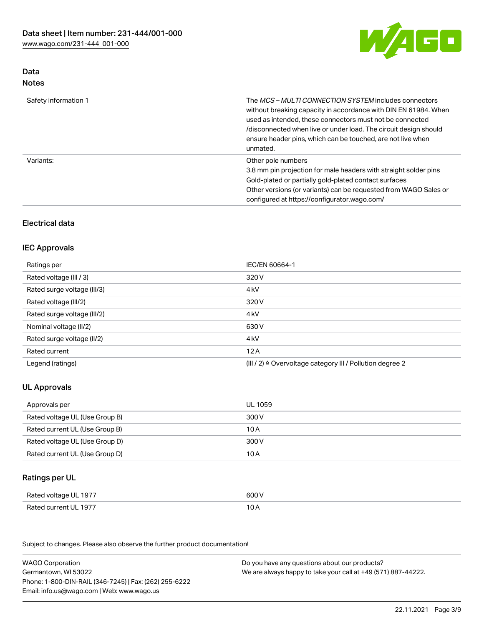

## Data Notes

| Safety information 1 | The <i>MCS – MULTI CONNECTION SYSTEM</i> includes connectors<br>without breaking capacity in accordance with DIN EN 61984. When<br>used as intended, these connectors must not be connected<br>/disconnected when live or under load. The circuit design should<br>ensure header pins, which can be touched, are not live when<br>unmated. |
|----------------------|--------------------------------------------------------------------------------------------------------------------------------------------------------------------------------------------------------------------------------------------------------------------------------------------------------------------------------------------|
| Variants:            | Other pole numbers<br>3.8 mm pin projection for male headers with straight solder pins<br>Gold-plated or partially gold-plated contact surfaces<br>Other versions (or variants) can be requested from WAGO Sales or<br>configured at https://configurator.wago.com/                                                                        |

# Electrical data

## IEC Approvals

| Ratings per                 | IEC/EN 60664-1                                                        |
|-----------------------------|-----------------------------------------------------------------------|
| Rated voltage (III / 3)     | 320 V                                                                 |
| Rated surge voltage (III/3) | 4 <sub>kV</sub>                                                       |
| Rated voltage (III/2)       | 320 V                                                                 |
| Rated surge voltage (III/2) | 4 <sub>kV</sub>                                                       |
| Nominal voltage (II/2)      | 630 V                                                                 |
| Rated surge voltage (II/2)  | 4 <sub>k</sub> V                                                      |
| Rated current               | 12A                                                                   |
| Legend (ratings)            | $(III / 2)$ $\triangle$ Overvoltage category III / Pollution degree 2 |

## UL Approvals

| Approvals per                  | UL 1059 |
|--------------------------------|---------|
| Rated voltage UL (Use Group B) | 300 V   |
| Rated current UL (Use Group B) | 10 A    |
| Rated voltage UL (Use Group D) | 300 V   |
| Rated current UL (Use Group D) | 10 A    |

### Ratings per UL

| Rated voltage UL 1977 | 600 V |
|-----------------------|-------|
| Rated current UL 1977 |       |

Subject to changes. Please also observe the further product documentation!

| <b>WAGO Corporation</b>                                | Do you have any questions about our products?                 |
|--------------------------------------------------------|---------------------------------------------------------------|
| Germantown, WI 53022                                   | We are always happy to take your call at +49 (571) 887-44222. |
| Phone: 1-800-DIN-RAIL (346-7245)   Fax: (262) 255-6222 |                                                               |
| Email: info.us@wago.com   Web: www.wago.us             |                                                               |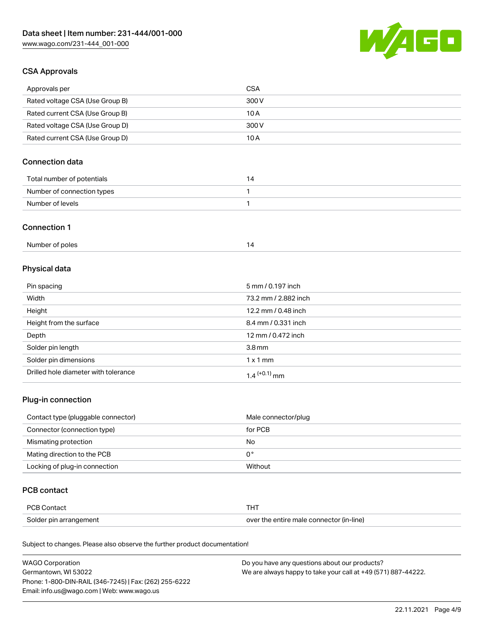

## CSA Approvals

| Approvals per                   | CSA   |
|---------------------------------|-------|
| Rated voltage CSA (Use Group B) | 300 V |
| Rated current CSA (Use Group B) | 10 A  |
| Rated voltage CSA (Use Group D) | 300 V |
| Rated current CSA (Use Group D) | 10 A  |

# Connection data

| Total number of potentials | 14 |
|----------------------------|----|
| Number of connection types |    |
| Number of levels           |    |

#### Connection 1

| Number of poles |  |
|-----------------|--|
|                 |  |

# Physical data

| Pin spacing                          | 5 mm / 0.197 inch    |
|--------------------------------------|----------------------|
| Width                                | 73.2 mm / 2.882 inch |
| Height                               | 12.2 mm / 0.48 inch  |
| Height from the surface              | 8.4 mm / 0.331 inch  |
| Depth                                | 12 mm / 0.472 inch   |
| Solder pin length                    | 3.8 <sub>mm</sub>    |
| Solder pin dimensions                | $1 \times 1$ mm      |
| Drilled hole diameter with tolerance | $1.4$ $(+0.1)$ mm    |

## Plug-in connection

| Contact type (pluggable connector) | Male connector/plug |
|------------------------------------|---------------------|
| Connector (connection type)        | for PCB             |
| Mismating protection               | No                  |
| Mating direction to the PCB        | 0°                  |
| Locking of plug-in connection      | Without             |

### PCB contact

| PCB Contact            |                                          |
|------------------------|------------------------------------------|
| Solder pin arrangement | over the entire male connector (in-line) |

Subject to changes. Please also observe the further product documentation!

| <b>WAGO Corporation</b>                                | Do you have any questions about our products?                 |
|--------------------------------------------------------|---------------------------------------------------------------|
| Germantown, WI 53022                                   | We are always happy to take your call at +49 (571) 887-44222. |
| Phone: 1-800-DIN-RAIL (346-7245)   Fax: (262) 255-6222 |                                                               |
| Email: info.us@wago.com   Web: www.wago.us             |                                                               |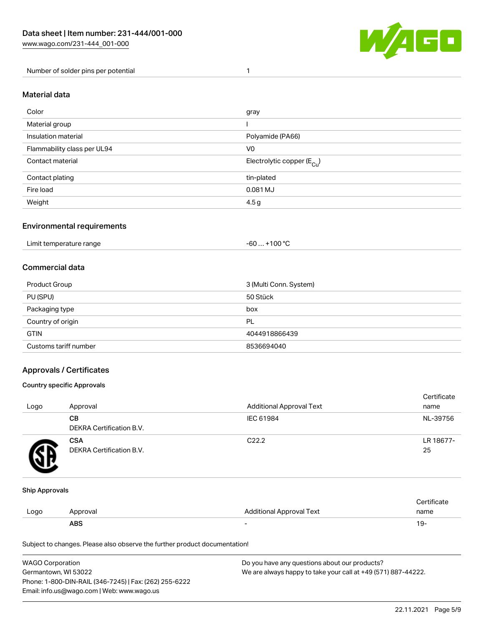

Number of solder pins per potential 1

#### Material data

| Color                       | gray                                   |
|-----------------------------|----------------------------------------|
| Material group              |                                        |
| Insulation material         | Polyamide (PA66)                       |
| Flammability class per UL94 | V <sub>0</sub>                         |
| Contact material            | Electrolytic copper (E <sub>Cu</sub> ) |
| Contact plating             | tin-plated                             |
| Fire load                   | 0.081 MJ                               |
| Weight                      | 4.5 <sub>g</sub>                       |

#### Environmental requirements

Limit temperature range  $-60... +100$  °C

#### Commercial data

| Product Group         | 3 (Multi Conn. System) |
|-----------------------|------------------------|
| PU (SPU)              | 50 Stück               |
| Packaging type        | box                    |
| Country of origin     | PL                     |
| <b>GTIN</b>           | 4044918866439          |
| Customs tariff number | 8536694040             |

### Approvals / Certificates

#### Country specific Approvals

| Logo | Approval                               | <b>Additional Approval Text</b> | Certificate<br>name |
|------|----------------------------------------|---------------------------------|---------------------|
|      | CВ<br>DEKRA Certification B.V.         | IEC 61984                       | NL-39756            |
|      | <b>CSA</b><br>DEKRA Certification B.V. | C <sub>22.2</sub>               | LR 18677-<br>25     |

#### Ship Approvals

|      | <b>ABS</b> |                          | 19-  |
|------|------------|--------------------------|------|
| LOQO | Approval   | Additional Approval Text | name |
|      |            |                          |      |

Subject to changes. Please also observe the further product documentation!

| WAGO Corporation                                       | Do you have any questions about our products?                 |
|--------------------------------------------------------|---------------------------------------------------------------|
| Germantown, WI 53022                                   | We are always happy to take your call at +49 (571) 887-44222. |
| Phone: 1-800-DIN-RAIL (346-7245)   Fax: (262) 255-6222 |                                                               |
| Email: info.us@wago.com   Web: www.wago.us             |                                                               |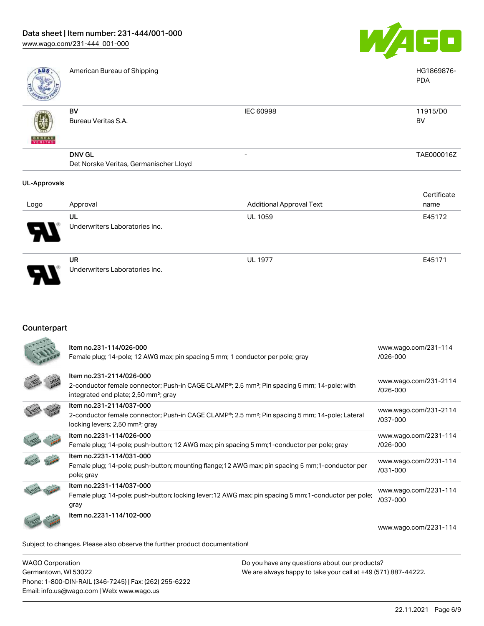[www.wago.com/231-444\\_001-000](http://www.wago.com/231-444_001-000)



| ABS                 | American Bureau of Shipping            |                                 | HG1869876-<br><b>PDA</b> |
|---------------------|----------------------------------------|---------------------------------|--------------------------|
|                     | BV                                     | IEC 60998                       | 11915/D0                 |
|                     | Bureau Veritas S.A.                    |                                 | BV                       |
| <b>BUREAU</b>       |                                        |                                 |                          |
|                     | <b>DNV GL</b>                          |                                 | TAE000016Z               |
|                     | Det Norske Veritas, Germanischer Lloyd |                                 |                          |
| <b>UL-Approvals</b> |                                        |                                 |                          |
|                     |                                        |                                 | Certificate              |
| Logo                | Approval                               | <b>Additional Approval Text</b> | name                     |
|                     | UL                                     | <b>UL 1059</b>                  | E45172                   |
|                     | Underwriters Laboratories Inc.         |                                 |                          |

UR Underwriters Laboratories Inc. UL 1977 E45171

## Counterpart

|                                                                            | Item no.231-114/026-000<br>Female plug; 14-pole; 12 AWG max; pin spacing 5 mm; 1 conductor per pole; gray                                                                                              | www.wago.com/231-114<br>$1026 - 000$  |  |
|----------------------------------------------------------------------------|--------------------------------------------------------------------------------------------------------------------------------------------------------------------------------------------------------|---------------------------------------|--|
|                                                                            | Item no.231-2114/026-000<br>2-conductor female connector; Push-in CAGE CLAMP <sup>®</sup> ; 2.5 mm <sup>2</sup> ; Pin spacing 5 mm; 14-pole; with<br>integrated end plate; 2,50 mm <sup>2</sup> ; gray | www.wago.com/231-2114<br>/026-000     |  |
|                                                                            | Item no.231-2114/037-000<br>2-conductor female connector; Push-in CAGE CLAMP <sup>®</sup> ; 2.5 mm <sup>2</sup> ; Pin spacing 5 mm; 14-pole; Lateral<br>locking levers; 2,50 mm <sup>2</sup> ; gray    | www.wago.com/231-2114<br>/037-000     |  |
|                                                                            | Item no.2231-114/026-000<br>Female plug; 14-pole; push-button; 12 AWG max; pin spacing 5 mm; 1-conductor per pole; gray                                                                                | www.wago.com/2231-114<br>$1026 - 000$ |  |
|                                                                            | Item no.2231-114/031-000<br>Female plug; 14-pole; push-button; mounting flange; 12 AWG max; pin spacing 5 mm; 1-conductor per<br>pole; gray                                                            | www.wago.com/2231-114<br>$/031 - 000$ |  |
|                                                                            | Item no.2231-114/037-000<br>Female plug; 14-pole; push-button; locking lever; 12 AWG max; pin spacing 5 mm; 1-conductor per pole;<br>gray                                                              | www.wago.com/2231-114<br>/037-000     |  |
|                                                                            | Item no.2231-114/102-000                                                                                                                                                                               | www.wago.com/2231-114                 |  |
| Subject to changes. Please also observe the further product documentation! |                                                                                                                                                                                                        |                                       |  |

WAGO Corporation Germantown, WI 53022 Phone: 1-800-DIN-RAIL (346-7245) | Fax: (262) 255-6222 Email: info.us@wago.com | Web: www.wago.us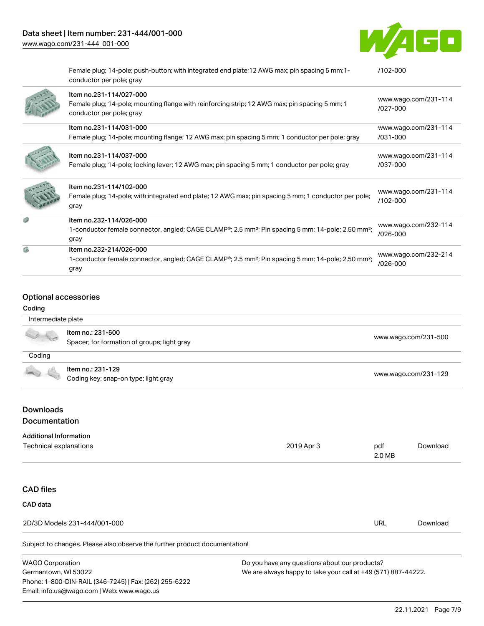# Data sheet | Item number: 231-444/001-000

[www.wago.com/231-444\\_001-000](http://www.wago.com/231-444_001-000)



|   | Female plug; 14-pole; push-button; with integrated end plate; 12 AWG max; pin spacing 5 mm; 1-<br>conductor per pole; gray                                                 | /102-000                         |
|---|----------------------------------------------------------------------------------------------------------------------------------------------------------------------------|----------------------------------|
|   | Item no.231-114/027-000<br>Female plug; 14-pole; mounting flange with reinforcing strip; 12 AWG max; pin spacing 5 mm; 1<br>conductor per pole; gray                       | www.wago.com/231-114<br>/027-000 |
|   | Item no.231-114/031-000                                                                                                                                                    | www.wago.com/231-114             |
|   | Female plug; 14-pole; mounting flange; 12 AWG max; pin spacing 5 mm; 1 conductor per pole; gray                                                                            | /031-000                         |
|   | Item no.231-114/037-000<br>Female plug; 14-pole; locking lever; 12 AWG max; pin spacing 5 mm; 1 conductor per pole; gray                                                   | www.wago.com/231-114<br>/037-000 |
|   | Item no.231-114/102-000<br>Female plug; 14-pole; with integrated end plate; 12 AWG max; pin spacing 5 mm; 1 conductor per pole;<br>gray                                    | www.wago.com/231-114<br>/102-000 |
|   | Item no.232-114/026-000<br>1-conductor female connector, angled; CAGE CLAMP <sup>®</sup> ; 2.5 mm <sup>2</sup> ; Pin spacing 5 mm; 14-pole; 2,50 mm <sup>2</sup> ;<br>gray | www.wago.com/232-114<br>/026-000 |
| 僞 | Item no.232-214/026-000<br>1-conductor female connector, angled; CAGE CLAMP <sup>®</sup> ; 2.5 mm <sup>2</sup> ; Pin spacing 5 mm; 14-pole; 2,50 mm <sup>2</sup> ;<br>gray | www.wago.com/232-214<br>/026-000 |

#### Optional accessories

#### Coding

| Intermediate plate |                                                                  |                      |
|--------------------|------------------------------------------------------------------|----------------------|
|                    | Item no.: 231-500<br>Spacer; for formation of groups; light gray | www.wago.com/231-500 |
| Coding             |                                                                  |                      |
|                    | Item no.: 231-129<br>Coding key; snap-on type; light gray        | www.wago.com/231-129 |
|                    |                                                                  |                      |

## Downloads Documentation

#### Additional Information

| Technical explanations                                                     | 2019 Apr 3                                    | pdf<br>2.0 MB | Download |
|----------------------------------------------------------------------------|-----------------------------------------------|---------------|----------|
|                                                                            |                                               |               |          |
| <b>CAD files</b>                                                           |                                               |               |          |
| CAD data                                                                   |                                               |               |          |
| 2D/3D Models 231-444/001-000                                               |                                               | URL           | Download |
| Subject to changes. Please also observe the further product documentation! |                                               |               |          |
| $MADO$ Carporation                                                         | Do vou boyo any quastions about our producto? |               |          |

WAGO Corporation Germantown, WI 53022 Phone: 1-800-DIN-RAIL (346-7245) | Fax: (262) 255-6222 Email: info.us@wago.com | Web: www.wago.us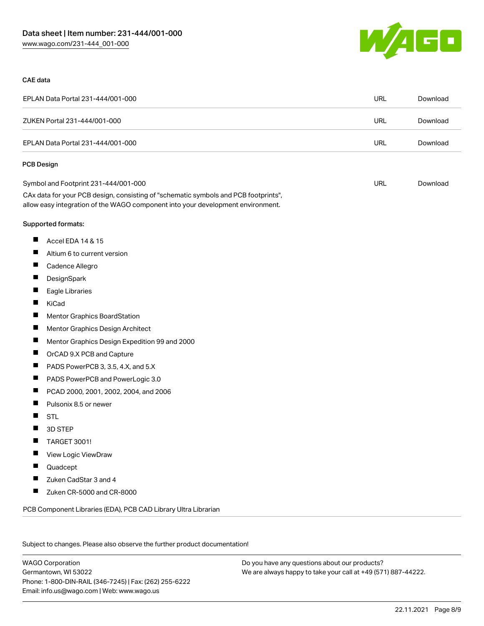

#### CAE data

| EPLAN Data Portal 231-444/001-000                                                                                                                                      | URL        | Download |
|------------------------------------------------------------------------------------------------------------------------------------------------------------------------|------------|----------|
| ZUKEN Portal 231-444/001-000                                                                                                                                           | <b>URL</b> | Download |
| EPLAN Data Portal 231-444/001-000                                                                                                                                      | <b>URL</b> | Download |
| PCB Design                                                                                                                                                             |            |          |
| Symbol and Footprint 231-444/001-000                                                                                                                                   | URL        | Download |
| CAx data for your PCB design, consisting of "schematic symbols and PCB footprints",<br>allow easy integration of the WAGO component into your development environment. |            |          |
| Supported formats:                                                                                                                                                     |            |          |
| ш<br>Accel EDA 14 & 15                                                                                                                                                 |            |          |
| ш<br>Altium 6 to current version                                                                                                                                       |            |          |
| ш<br>Cadence Allegro                                                                                                                                                   |            |          |
| ш<br>DesignSpark                                                                                                                                                       |            |          |
| ш<br>Eagle Libraries                                                                                                                                                   |            |          |
| ш<br>KiCad                                                                                                                                                             |            |          |
| ш<br><b>Mentor Graphics BoardStation</b>                                                                                                                               |            |          |
| ш<br>Mentor Graphics Design Architect                                                                                                                                  |            |          |
| ш<br>Mentor Graphics Design Expedition 99 and 2000                                                                                                                     |            |          |
| ц<br>OrCAD 9.X PCB and Capture                                                                                                                                         |            |          |
| ш<br>PADS PowerPCB 3, 3.5, 4.X, and 5.X                                                                                                                                |            |          |
| ш<br>PADS PowerPCB and PowerLogic 3.0                                                                                                                                  |            |          |
| ш<br>PCAD 2000, 2001, 2002, 2004, and 2006                                                                                                                             |            |          |
| ш<br>Pulsonix 8.5 or newer                                                                                                                                             |            |          |
| ш<br><b>STL</b>                                                                                                                                                        |            |          |
| П<br>3D STEP                                                                                                                                                           |            |          |
| ш<br><b>TARGET 3001!</b>                                                                                                                                               |            |          |
| View Logic ViewDraw                                                                                                                                                    |            |          |
| Quadcept                                                                                                                                                               |            |          |
| Zuken CadStar 3 and 4                                                                                                                                                  |            |          |
| П<br>Zuken CR-5000 and CR-8000                                                                                                                                         |            |          |
| PCB Component Libraries (EDA), PCB CAD Library Ultra Librarian                                                                                                         |            |          |

Subject to changes. Please also observe the further product documentation!

WAGO Corporation Germantown, WI 53022 Phone: 1-800-DIN-RAIL (346-7245) | Fax: (262) 255-6222 Email: info.us@wago.com | Web: www.wago.us